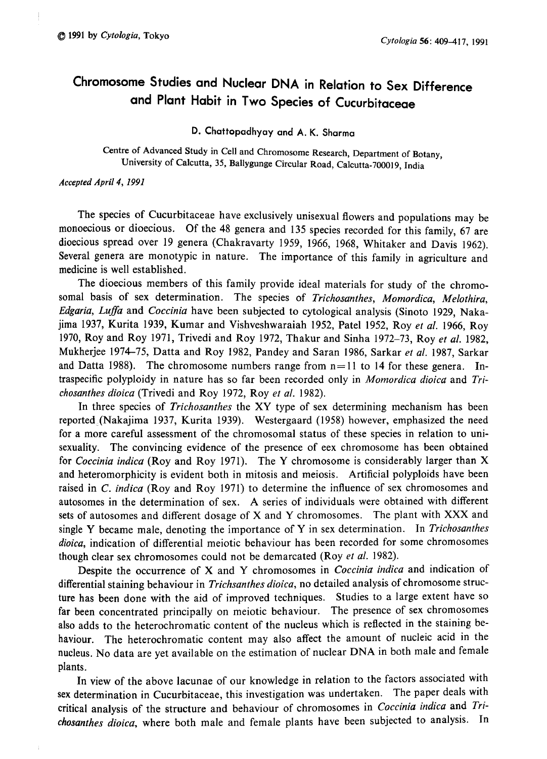# Chromosome Studies and Nuclear DNA in Relation to Sex Difference and Plant Habit in Two Species of Cucurbitaceae

D. Chattopadhyay and A . K. Sharma

Centre of Advanced Study in Cell and Chromosome Research, Department of Botany, niversity of Calcutta, 35, Ballygunge Circular Road, Calcutta-700019, Indi

### Accepted April 4, 1991

The species of Cucurbitaceae have exclusively unisexual flowers and populations may be monoecious or dioecious. Of the 48 genera and 135 species recorded for this family, 67 are dioecious spread over 19 genera (Chakravarty 1959, 1966, 1968, Whitaker and Davis 1962). Several genera are monotypic in nature. The importance of this family in agriculture and medicine is well established.

The dioecious members of this family provide ideal materials for study of the chromo somal basis of sex determination. The species of Trichosanthes, Momordica, Melothira, Edgaria, Luffa and Coccinia have been subjected to cytological analysis (Sinoto 1929, Nakajima 1937, Kurita 1939, Kumar and Vishveshwaraiah 1952, Patel 1952, Roy et al. 1966, Roy 1970, Roy and Roy 1971, Trivedi and Roy 1972, Thakur and Sinha 1972-73, Roy et al. 1982, Mukherjee 1974-75, Datta and Roy 1982, Pandey and Saran 1986, Sarkar et al. 1987, Sarkar and Datta 1988). The chromosome numbers range from  $n=11$  to 14 for these genera. Intraspecific polyploidy in nature has so far been recorded only in Momordica dioica and Trichosanthes dioica (Trivedi and Roy 1972, Roy et al. 1982).

In three species of Trichosanthes the XY type of sex determining mechanism has been reported, (Nakajima 1937, Kurita 1939). Westergaard (1958) however, emphasized the need for a more careful assessment of the chromosomal status of these species in relation to uni sexuality. The convincing evidence of the presence of eex chromosome has been obtained for Coccinia indica (Roy and Roy 1971). The Y chromosome is considerably larger than X and heteromorphicity is evident both in mitosis and meiosis. Artificial polyploids have been raised in C. indica (Roy and Roy 1971) to determine the influence of sex chromosomes and autosomes in the determination of sex. A series of individuals were obtained with different sets of autosomes and different dosage of X and Y chromosomes. The plant with XXX and single Y became male, denoting the importance of Y in sex determination. In Trichosanthes dioica, indication of differential meiotic behaviour has been recorded for some chromosomes though clear sex chromosomes could not be demarcated (Roy et al. 1982).

Despite the occurrence of X and Y chromosomes in Coccinia indica and indication of differential staining behaviour in Trichsanthes dioica, no detailed analysis of chromosome structure has been done with the aid of improved techniques. Studies to a large extent have so far been concentrated principally on meiotic behaviour. The presence of sex chromosomes also adds to the heterochromatic content of the nucleus which is reflected in the staining be haviour. The heterochromatic content may also affect the amount of nucleic acid in the nucleus. No data are yet available on the estimation of nuclear DNA in both male and female plants.

In view of the above lacunae of our knowledge in relation to the factors associated with sex determination in Cucurbitaceae, this investigation was undertaken. The paper deals with critical analysis of the structure and behaviour of chromosomes in Coccinia indica and Tri chosanthes dioica, where both male and female plants have been subjected to analysis. In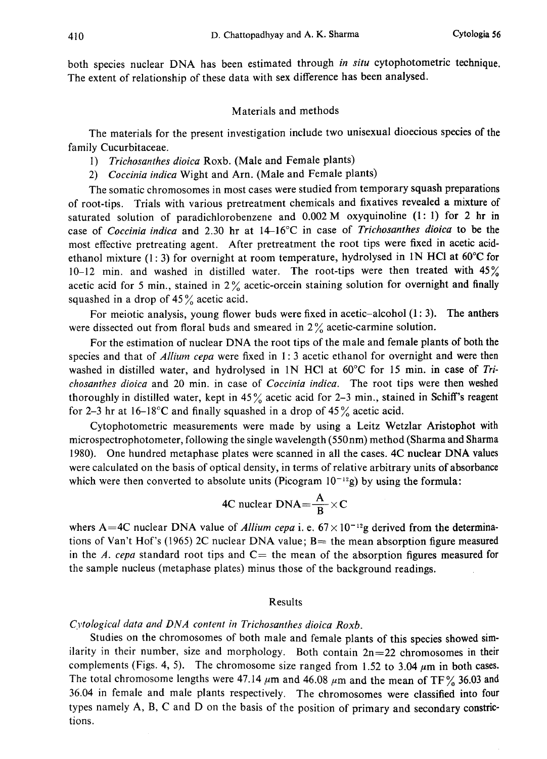both species nuclear DNA has been estimated through in situ cytophotometric technique. The extent of relationship of these data with sex difference has been analysed.

## Materials and methods

The materials for the present investigation include two unisexual dioecious species of the family Cucurbitaceae.

- 1) Trichosanthes dioica Roxb. (Male and Female plants)
- 2) Coccinia indica Wight and Arn. (Male and Female plants)

The somatic chromosomes in most cases were studied from temporary squash preparations of root-tips. Trials with various pretreatment chemicals and fixatives revealed a mixture of saturated solution of paradichlorobenzene and  $0.002$  M oxyquinoline (1:1) for 2 hr in case of Coccinia indica and 2.30 hr at  $14-16^{\circ}\text{C}$  in case of Trichosanthes dioica to be the most effective pretreating agent. After pretreatment the root tips were fixed in acetic acid ethanol mixture (1:3) for overnight at room temperature, hydrolysed in 1N HCl at  $60^{\circ}$ C for 10-12 min. and washed in distilled water. The root-tips were then treated with  $45\%$ acetic acid for 5 min., stained in  $2\%$  acetic-orcein staining solution for overnight and finally squashed in a drop of  $45\%$  acetic acid.

For meiotic analysis, young flower buds were fixed in acetic-alcohol  $(1:3)$ . The anthers were dissected out from floral buds and smeared in 2% acetic-carmine solution.

For the estimation of nuclear DNA the root tips of the male and female plants of both the species and that of Allium cepa were fixed in 1:3 acetic ethanol for overnight and were then washed in distilled water, and hydrolysed in 1N HCl at  $60^{\circ}$ C for 15 min. in case of Trichosanthes dioica and 20 min. in case of *Coccinia indica*. The root tips were then weshed thoroughly in distilled water, kept in  $45\%$  acetic acid for 2-3 min., stained in Schiff's reagent for 2–3 hr at 16–18°C and finally squashed in a drop of 45 $\frac{9}{6}$  acetic acid.

Cytophotometric measurements were made by using a Leitz Wetzlar Aristophot with microspectrophotometer, following the single wavelength (550nm) method (Sharma and Sharma 1980). One hundred metaphase plates were scanned in all the cases. 4C nuclear DNA values were calculated on the basis of optical density, in terms of relative arbitrary units of absorbance which were then converted to absolute units (Picogram  $10^{-12}$ g) by using the formula:

4C nuclear DNA=
$$
\frac{A}{B}
$$
×C

whers A=4C nuclear DNA value of Allium cepa i. e.  $67 \times 10^{-12}$ g derived from the determinations of Van't Hof's (1965) 2C nuclear DNA value;  $B=$  the mean absorption figure measured in the A. cepa standard root tips and  $C=$  the mean of the absorption figures measured for the sample nucleus (metaphase plates) minus those of the background readings.

#### Results

# Cytological data and DNA content in Trichosanthes dioica Roxb.

Studies on the chromosomes of both male and female plants of this species showed sim ilarity in their number, size and morphology. Both contain  $2n=22$  chromosomes in their complements (Figs. 4, 5). The chromosome size ranged from 1.52 to 3.04  $\mu$ m in both cases. The total chromosome lengths were 47.14  $\mu$ m and 46.08  $\mu$ m and the mean of TF% 36.03 and 36.04 in female and male plants respectively. The chromosomes were classified into four types namely A, B, C and D on the basis of the position of primary and secondary constric tions.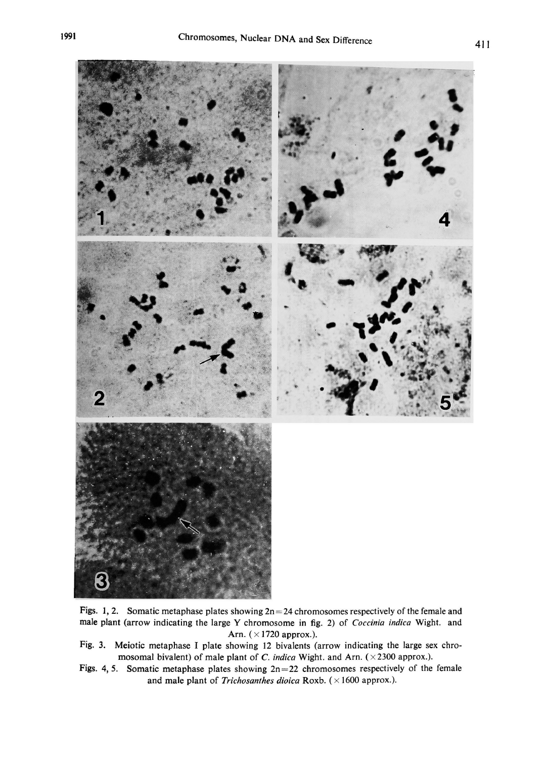

Figs. 1, 2. Somatic metaphase plates showing  $2n=24$  chromosomes respectively of the female and male plant (arrow indicating the large Y chromosome in fig. 2) of Coccinia indica Wight. and Arn. ( $\times$ 1720 approx.).

- Fig. 3. Meiotic metaphase I plate showing 12 bivalents (arrow indicating the large sex chro mosomal bivalent) of male plant of C. indica Wight. and Arn. ( $\times$ 2300 approx.).
- Figs. 4, 5. Somatic metaphase plates showing  $2n=22$  chromosomes respectively of the female and male plant of Trichosanthes dioica Roxb. ( $\times$ 1600 approx.).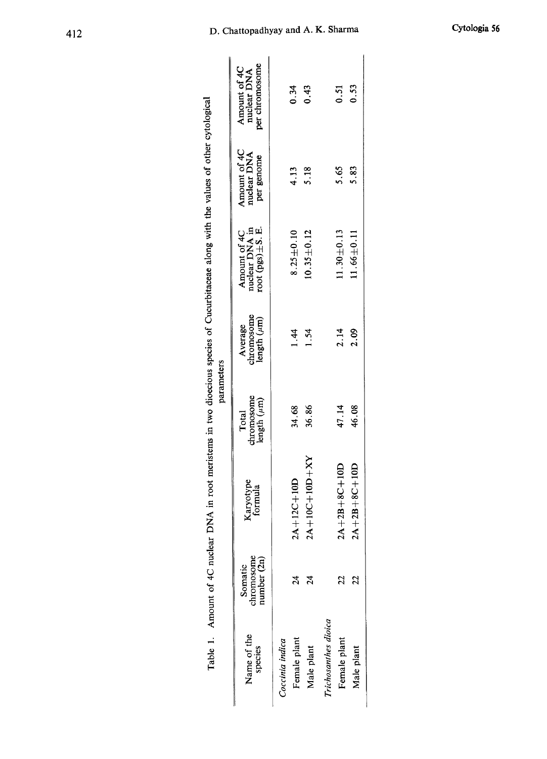| $2A+10C+10D+XY$<br>$2A+12C+10D$<br>Karyotype<br>formula<br>chromosome<br>number (2n)<br>Somatic<br>$\overline{24}$<br>24<br>Name of the<br>Female plant<br>Coccinia indica<br>species<br>Male plant |                                         |                                           |                                                           |                                           |                                               |
|-----------------------------------------------------------------------------------------------------------------------------------------------------------------------------------------------------|-----------------------------------------|-------------------------------------------|-----------------------------------------------------------|-------------------------------------------|-----------------------------------------------|
|                                                                                                                                                                                                     | chromosome<br>length $(\mu m)$<br>Total | Average<br>chromosome<br>length $(\mu m)$ | nuclear DNA in<br>root $(pgs) \pm S$ . E.<br>Amount of 4C | Amount of 4C<br>nuclear DNA<br>per genome | per chromosome<br>Amount of 4C<br>nuclear DNA |
|                                                                                                                                                                                                     |                                         |                                           |                                                           |                                           |                                               |
|                                                                                                                                                                                                     | 34.68                                   | 1.44                                      | $8.25 \pm 0.10$                                           | 4.13                                      | 0.34                                          |
|                                                                                                                                                                                                     | 36.86                                   | 1.54                                      | $10.35 \pm 0.12$                                          | 5.18                                      | 0.43                                          |
| Trichosanthes dioica                                                                                                                                                                                |                                         |                                           |                                                           |                                           |                                               |
| $2A+2B+8C+10D$<br>22<br>Female plant                                                                                                                                                                | 47.14                                   | 2.14                                      | $11.30 + 0.13$                                            | 5.65                                      | 0.51                                          |
| $2A + 2B + 8C + 10D$<br>22<br>Male plant                                                                                                                                                            | 46.08                                   | 2.09                                      | $11.66 \pm 0.11$                                          | 5.83                                      | 0.53                                          |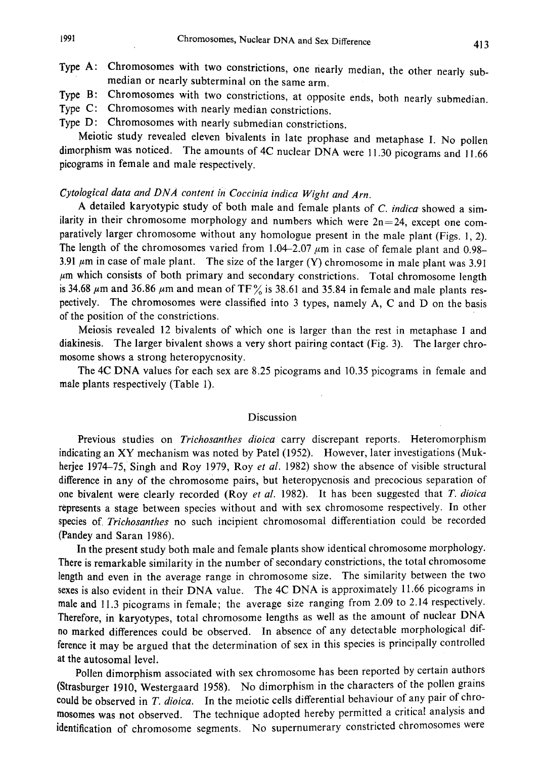Type A: Chromosomes with two constrictions, one nearly median , the other nearly sub median or nearly subterminal on the same arm.

Type B: Chromosomes with two constrictions, at opposite ends, both nearly submedian

- Type C: Chromosomes with nearly median constrictions.
- Type D: Chromosomes with nearly submedian constrictions.

Meiotic study revealed eleven bivalents in late prophase and metaphase I . No pollen dimorphism was noticed. The amounts of 4C nuclear DNA were 11.30 picograms and 11.66 picograms in female and male respectively.

# Cytological data and DNA content in Coccinia indica Wight and Arn.

A detailed karyotypic study of both male and female plants of  $C$ . indica showed a similarity in their chromosome morphology and numbers which were  $2n=24$ , except one com paratively larger chromosome without any homologue present in the male plant (Figs. 1, 2). The length of the chromosomes varied from 1.04-2.07  $\mu$ m in case of female plant and 0.98-3.91  $\mu$ m in case of male plant. The size of the larger (Y) chromosome in male plant was 3.91  $\mu$ m which consists of both primary and secondary constrictions. Total chromosome length is 34.68  $\mu$ m and 36.86  $\mu$ m and mean of TF% is 38.61 and 35.84 in female and male plants respectively. The chromosomes were classified into 3 types, namely A, C and D on the basis of the position of the constrictions.

Meiosis revealed 12 bivalents of which one is larger than the rest in metaphase I and diakinesis. The larger bivalent shows a very short pairing contact (Fig. 3). The larger chro mosome shows a strong heteropycnosity.

The 4C DNA values for each sex are 8.25 picograms and 10.35 picograms in female and male plants respectively (Table 1).

## Discussion

Previous studies on Trichosanthes dioica carry discrepant reports. Heteromorphism indicating an XY mechanism was noted by Patel (1952). However, later investigations (Muk herjee 1974-75, Singh and Roy 1979, Roy et al. 1982) show the absence of visible structural difference in any of the chromosome pairs, but heteropycnosis and precocious separation of one bivalent were clearly recorded (Roy et al. 1982). It has been suggested that  $T$ . dioica represents a stage between species without and with sex chromosome respectively. In other species of, Trichosanthes no such incipient chromosomal differentiation could be recorded (Pandey and Saran 1986).

In the present study both male and female plants show identical chromosome morphology. There is remarkable similarity in the number of secondary constrictions, the total chromosome length and even in the average range in chromosome size. The similarity between the two sexes is also evident in their DNA value. The 4C DNA is approximately 11.66 picograms in male and 11.3 picograms in female; the average size ranging from 2.09 to 2.14 respectively. Therefore, in karyotypes, total chromosome lengths as well as the amount of nuclear DNA no marked differences could be observed. In absence of any detectable morphological dif ference it may be argued that the determination of sex in this species is principally controlled at the autosomal level.

Pollen dimorphism associated with sex chromosome has been reported by certain authors (Strasburger 1910, Westergaard 1958). No dimorphism in the characters of the pollen grains could be observed in  $T.$  dioica. In the meiotic cells differential behaviour of any pair of chromosomes was not observed. The technique adopted hereby permitted a critical analysis and identification of chromosome segments. No supernumerary constricted chromosomes were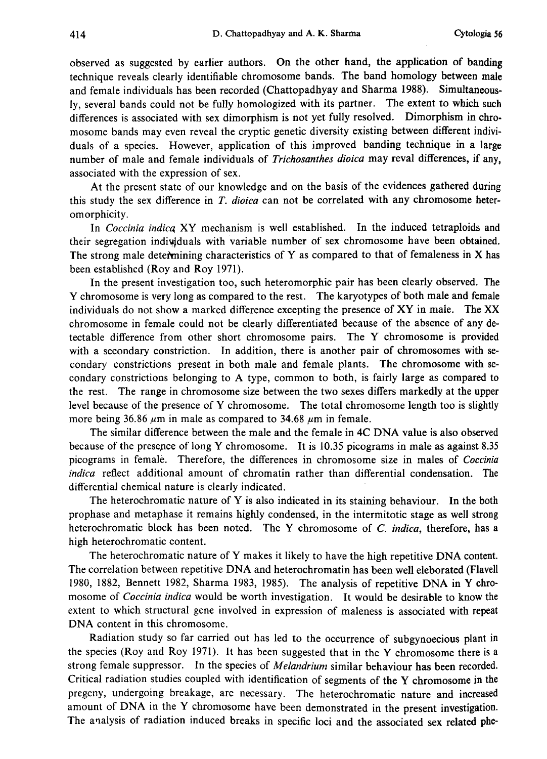observed as suggested by earlier authors. On the other hand, the application of banding technique reveals clearly identifiable chromosome bands. The band homology between male and female individuals has been recorded (Chattopadhyay and Sharma 1988). Simultaneous ly, several bands could not be fully homologized with its partner. The extent to which such differences is associated with sex dimorphism is not yet fully resolved. Dimorphism in chro mosome bands may even reveal the cryptic genetic diversity existing between different indivi duals of a species. However, application of this improved banding technique in a large number of male and female individuals of Trichosanthes dioica may reval differences, if any, associated with the expression of sex.

At the present state of our knowledge and on the basis of the evidences gathered during this study the sex difference in  $T$ . dioica can not be correlated with any chromosome heteromorphicity.

In Coccinia indicq XY mechanism is well established. In the induced tetraploids and their segregation individuals with variable number of sex chromosome have been obtained. The strong male determining characteristics of Y as compared to that of femaleness in X has been established (Roy and Roy 1971).

In the present investigation too, such heteromorphic pair has been clearly observed. The Y chromosome is very long as compared to the rest. The karyotypes of both male and female individuals do not show a marked difference excepting the presence of XY in male. The XX chromosome in female could not be clearly differentiated because of the absence of any de tectable difference from other short chromosome pairs. The Y chromosome is provided with a secondary constriction. In addition, there is another pair of chromosomes with se condary constrictions present in both male and female plants. The chromosome with se condary constrictions belonging to A type, common to both, is fairly large as compared to the rest. The range in chromosome size between the two sexes differs markedly at the upper level because of the presence of Y chromosome. The total chromosome length too is slightly more being 36.86  $\mu$ m in male as compared to 34.68  $\mu$ m in female.

The similar difference between the male and the female in 4C DNA value is also observed because of the presence of long Y chromosome. It is 10.35 picograms in male as against 8.35 picograms in female. Therefore, the differences in chromosome size in males of Coccinia indica reflect additional amount of chromatin rather than differential condensation. The differential chemical nature is clearly indicated.

The heterochromatic nature of Y is also indicated in its staining behaviour. In the both prophase and metaphase it remains highly condensed, in the intermitotic stage as well strong heterochromatic block has been noted. The Y chromosome of C. indica, therefore, has a high heterochromatic content.

The heterochromatic nature of Y makes it likely to have the high repetitive DNA content. The correlation between repetitive DNA and heterochromatin has been well eleborated (Flavell 1980, 1882, Bennett 1982, Sharma 1983, 1985). The analysis of repetitive DNA in Y chro mosome of *Coccinia indica* would be worth investigation. It would be desirable to know the extent to which structural gene involved in expression of maleness is associated with repeat DNA content in this chromosome.

Radiation study so far carried out has led to the occurrence of subgynoecious plant in the species (Roy and Roy 1971). It has been suggested that in the Y chromosome there is a strong female suppressor. In the species of Melandrium similar behaviour has been recorded. Critical radiation studies coupled with identification of segments of the Y chromosome in the pregeny, undergoing breakage, are necessary. The heterochromatic nature and increased amount of DNA in the Y chromosome have been demonstrated in the present investigation. The analysis of radiation induced breaks in specific loci and the associated sex related phe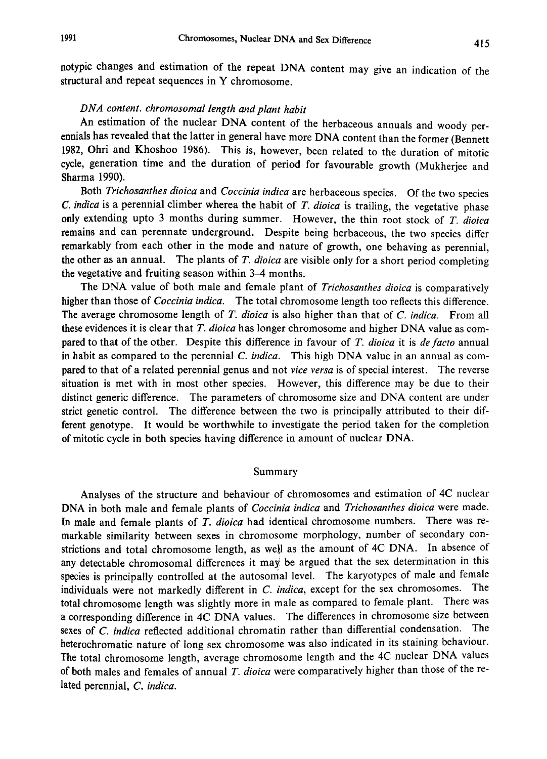notypic changes and estimation of the repeat DNA content may give an indication of the structural and repeat sequences in Y chromosome.

# DNA content. chromosomal length and plant habit

An estimation of the nuclear DNA content of the herbaceous annuals and woody per ennials has revealed that the latter in general have more DNA content than the former (Bennett 1982, Ohri and Khoshoo 1986). This is, however, been related to the duration of mitotic cycle, generation time and the duration of period for favourable growth (Mukherjee and Sharma 1990).

Both Trichosanthes dioica and Coccinia indica are herbaceous species. Of the two species C. indica is a perennial climber wherea the habit of  $T$ . dioica is trailing, the vegetative phase only extending upto 3 months during summer. However, the thin root stock of  $T$ . dioica remains and can perennate underground. Despite being herbaceous, the two species differ remarkably from each other in the mode and nature of growth, one behaving as perennial, the other as an annual. The plants of  $T$ . dioica are visible only for a short period completing the vegetative and fruiting season within 3-4 months.

The DNA value of both male and female plant of Trichosanthes dioica is comparatively higher than those of *Coccinia indica*. The total chromosome length too reflects this difference. The average chromosome length of  $T$ . dioica is also higher than that of  $C$ . indica. From all these evidences it is clear that  $T$ . dioica has longer chromosome and higher DNA value as compared to that of the other. Despite this difference in favour of T. dioica it is de facto annual in habit as compared to the perennial  $C$ . *indica*. This high DNA value in an annual as compared to that of a related perennial genus and not vice versa is of special interest. The reverse situation is met with in most other species. However, this difference may be due to their distinct generic difference. The parameters of chromosome size and DNA content are under strict genetic control. The difference between the two is principally attributed to their dif ferent genotype. It would be worthwhile to investigate the period taken for the completion of mitotic cycle in both species having difference in amount of nuclear DNA.

## Summary

Analyses of the structure and behaviour of chromosomes and estimation of 4C nuclear DNA in both male and female plants of *Coccinia indica* and *Trichosanthes dioica* were made. In male and female plants of T. dioica had identical chromosome numbers. There was remarkable similarity between sexes in chromosome morphology, number of secondary con strictions and total chromosome length, as well as the amount of 4C DNA. In absence of any detectable chromosomal differences it may be argued that the sex determination in this species is principally controlled at the autosomal level. The karyotypes of male and female individuals were not markedly different in C. indica, except for the sex chromosomes. The total chromosome length was slightly more in male as compared to female plant. There was a corresponding difference in 4C DNA values. The differences in chromosome size between sexes of C. indica reflected additional chromatin rather than differential condensation. The heterochromatic nature of long sex chromosome was also indicated in its staining behaviour. The total chromosome length, average chromosome length and the 4C nuclear DNA values of both males and females of annual  $T$ . dioica were comparatively higher than those of the related perennial, C. indica.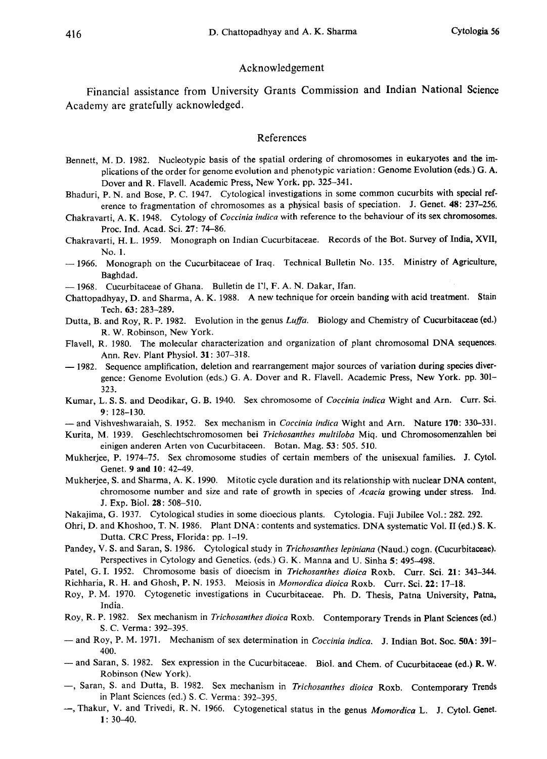### Acknowledgement

Financial assistance from University Grants Commission and Indian National Science Academy are gratefully acknowledged.

#### References

- Bennett, M. D. 1982. Nucleotypic basis of the spatial ordering of chromosomes in eukaryotes and the im plications of the order for genome evolution and phenotypic variation: Genome Evolution (eds.) G. A. Dover and R. Flavell. Academic Press, New York. pp. 325-341.
- Bhaduri, P. N. and Bose, P. C. 1947. Cytological investigations in some common cucurbits with special ref erence to fragmentation of chromosomes as a physical basis of speciation. J. Genet. 48: 237-256.
- Chakravarti, A. K. 1948. Cytology of Coccinia indica with reference to the behaviour of its sex chromosomes. Proc. Ind. Acad. Sci. 27: 74-86.
- Chakravarti, H. L. 1959. Monograph on Indian Cucurbitaceae. Records of the Bot. Survey of India, XVII, No. 1.
- 1966. Monograph on the Cucurbitaceae of Iraq. Technical Bulletin No. 135. Ministry of Agriculture, Baghdad.
- 1968. Cucurbitaceae of Ghana. Bulletin de I'l, F. A. N. Dakar, Ifan.
- Chattopadhyay, D. and Sharma, A. K. 1988. A new technique for orcein banding with acid treatment. Stain Tech. 63: 283-289.
- Dutta, B. and Roy, R. P. 1982. Evolution in the genus Luffa. Biology and Chemistry of Cucurbitaceae (ed.) R. W. Robinson, New York.
- Flavell, R. 1980. The molecular characterization and organization of plant chromosomal DNA sequences. Ann. Rev. Plant Physiol. 31: 307-318.
- 1982. Sequence amplification, deletion and rearrangement major sources of variation during species divergence: Genome Evolution (eds.) G. A. Dover and R. Flavell. Academic Press, New York. pp. 301- 323.
- Kumar, L. S. S. and Deodikar, G. B. 1940. Sex chromosome of Coccinia indica Wight and Arn. Curr. Sci. 9: 128-130.
- and Vishveshwaraiah, S. 1952. Sex mechanism in *Coccinia indica* Wight and Arn. Nature 170: 330-331.
- Kurita, M. 1939. Geschlechtschromosomen bei Trichosanthes multiloba Miq. und Chromosomenzahlen bei einigen anderen Arten von Cucurbitaceen. Botan. Mag. 53: 505. 510.
- Mukherjee, P. 1974-75. Sex chromosome studies of certain members of the unisexual families. J. Cytol. Genet. 9 and 10: 42-49.
- Mukherjee, S. and Sharma, A. K. 1990. Mitotic cycle duration and its relationship with nuclear DNA content, chromosome number and size and rate of growth in species of Acacia growing under stress. Ind. J. Exp. Biol. 28: 508-510.
- Nakajima, G. 1937. Cytological studies in some dioecious plants. Cytologia. Fuji Jubilee Vol.: 282. 292.
- Ohri, D. and Khoshoo, T. N. 1986. Plant DNA: contents and systematics. DNA systematic Vol. II (ed.) S. K. Dutta. CRC Press, Florida: pp. 1-19.
- Pandey, V. S. and Saran, S. 1986. Cytological study in Trichosanthes lepiniana (Naud.) cogn. (Cucurbitaceae). Perspectives in Cytology and Genetics. (eds.) G. K. Manna and U. Sinha 5: 495-498.
- Patel, G. I. 1952. Chromosome basis of dioecism in Trichosanthes dioica Roxb. Curr. Sci. 21: 343-344.
- Richharia, R. H. and Ghosh, P. N. 1953. Meiosis in Momordica dioica Roxb. Curr. Sci. 22: 17-18.
- Roy, P. M. 1970. Cytogenetic investigations in Cucurbitaceae. Ph. D. Thesis, Patna University, Patna, India.
- Roy, R. P. 1982. Sex mechanism in Trichosanthes dioica Roxb. Contemporary Trends in Plant Sciences (ed.) S. C. Verma: 392-395.
- and Roy, P. M. 1971. Mechanism of sex determination in Coccinia indica. J. Indian Bot. Soc. 50A: 391-400.
- and Saran, S. 1982. Sex expression in the Cucurbitaceae. Biol. and Chem. of Cucurbitaceae (ed.) R.W. Robinson (New York).
- -, Saran, S. and Dutta, B. 1982. Sex mechanism in Trichosanthes dioica Roxb. Contemporary Trends in Plant Sciences (ed.) S. C. Verma: 392-395.
- -, Thakur, V. and Trivedi, R. N. 1966. Cytogenetical status in the genus Momordica L. J. Cytol. Genet.  $1: 30 - 40.$